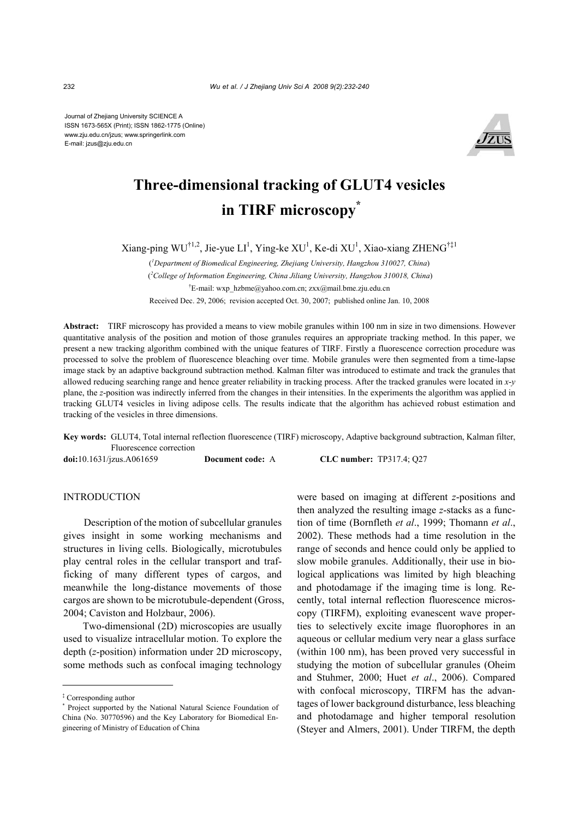Journal of Zhejiang University SCIENCE A ISSN 1673-565X (Print); ISSN 1862-1775 (Online) www.zju.edu.cn/jzus; www.springerlink.com E-mail: jzus@zju.edu.cn



# **Three-dimensional tracking of GLUT4 vesicles in TIRF microscopy\***

 $X$ iang-ping WU<sup>†1,2</sup>, Jie-yue LI<sup>1</sup>, Ying-ke XU<sup>1</sup>, Ke-di XU<sup>1</sup>, Xiao-xiang ZHENG<sup>†‡1</sup>

( *1 Department of Biomedical Engineering, Zhejiang University, Hangzhou 310027, China*) (*2 College of Information Engineering, China Jiliang University, Hangzhou 310018, China*) † E-mail: wxp\_hzbme@yahoo.com.cn; zxx@mail.bme.zju.edu.cn Received Dec. 29, 2006; revision accepted Oct. 30, 2007; published online Jan. 10, 2008

**Abstract:** TIRF microscopy has provided a means to view mobile granules within 100 nm in size in two dimensions. However quantitative analysis of the position and motion of those granules requires an appropriate tracking method. In this paper, we present a new tracking algorithm combined with the unique features of TIRF. Firstly a fluorescence correction procedure was processed to solve the problem of fluorescence bleaching over time. Mobile granules were then segmented from a time-lapse image stack by an adaptive background subtraction method. Kalman filter was introduced to estimate and track the granules that allowed reducing searching range and hence greater reliability in tracking process. After the tracked granules were located in *x*-*y* plane, the *z*-position was indirectly inferred from the changes in their intensities. In the experiments the algorithm was applied in tracking GLUT4 vesicles in living adipose cells. The results indicate that the algorithm has achieved robust estimation and tracking of the vesicles in three dimensions.

**Key words:** GLUT4, Total internal reflection fluorescence (TIRF) microscopy, Adaptive background subtraction, Kalman filter, Fluorescence correction

**doi:**10.1631/jzus.A061659 **Document code:** A **CLC number:** TP317.4; Q27

## **INTRODUCTION**

Description of the motion of subcellular granules gives insight in some working mechanisms and structures in living cells. Biologically, microtubules play central roles in the cellular transport and trafficking of many different types of cargos, and meanwhile the long-distance movements of those cargos are shown to be microtubule-dependent (Gross, 2004; Caviston and Holzbaur, 2006).

Two-dimensional (2D) microscopies are usually used to visualize intracellular motion. To explore the depth (*z*-position) information under 2D microscopy, some methods such as confocal imaging technology

were based on imaging at different *z*-positions and then analyzed the resulting image *z*-stacks as a function of time (Bornfleth *et al*., 1999; Thomann *et al*., 2002). These methods had a time resolution in the range of seconds and hence could only be applied to slow mobile granules. Additionally, their use in biological applications was limited by high bleaching and photodamage if the imaging time is long. Recently, total internal reflection fluorescence microscopy (TIRFM), exploiting evanescent wave properties to selectively excite image fluorophores in an aqueous or cellular medium very near a glass surface (within 100 nm), has been proved very successful in studying the motion of subcellular granules (Oheim and Stuhmer, 2000; Huet *et al*., 2006). Compared with confocal microscopy, TIRFM has the advantages of lower background disturbance, less bleaching and photodamage and higher temporal resolution (Steyer and Almers, 2001). Under TIRFM, the depth

<sup>‡</sup> Corresponding author

<sup>\*</sup> Project supported by the National Natural Science Foundation of China (No. 30770596) and the Key Laboratory for Biomedical Engineering of Ministry of Education of China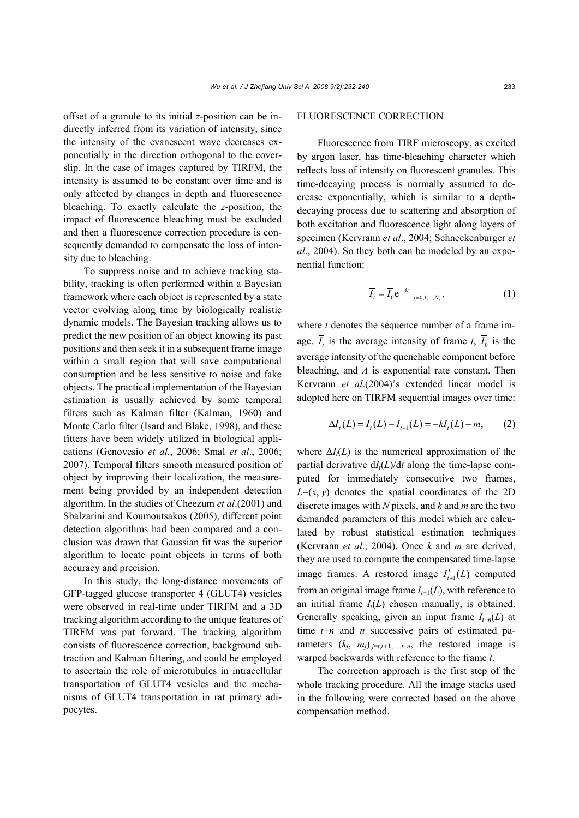offset of a granule to its initial *z*-position can be indirectly inferred from its variation of intensity, since the intensity of the evanescent wave decreases exponentially in the direction orthogonal to the coverslip. In the case of images captured by TIRFM, the intensity is assumed to be constant over time and is only affected by changes in depth and fluorescence bleaching. To exactly calculate the *z*-position, the impact of fluorescence bleaching must be excluded and then a fluorescence correction procedure is consequently demanded to compensate the loss of intensity due to bleaching.

To suppress noise and to achieve tracking stability, tracking is often performed within a Bayesian framework where each object is represented by a state vector evolving along time by biologically realistic dynamic models. The Bayesian tracking allows us to predict the new position of an object knowing its past positions and then seek it in a subsequent frame image within a small region that will save computational consumption and be less sensitive to noise and fake objects. The practical implementation of the Bayesian estimation is usually achieved by some temporal filters such as Kalman filter (Kalman, 1960) and Monte Carlo filter (Isard and Blake, 1998), and these fitters have been widely utilized in biological applications (Genovesio *et al*., 2006; Smal *et al*., 2006; 2007). Temporal filters smooth measured position of object by improving their localization, the measurement being provided by an independent detection algorithm. In the studies of Cheezum *et al*.(2001) and Sbalzarini and Koumoutsakos (2005), different point detection algorithms had been compared and a conclusion was drawn that Gaussian fit was the superior algorithm to locate point objects in terms of both accuracy and precision.

In this study, the long-distance movements of GFP-tagged glucose transporter 4 (GLUT4) vesicles were observed in real-time under TIRFM and a 3D tracking algorithm according to the unique features of TIRFM was put forward. The tracking algorithm consists of fluorescence correction, background subtraction and Kalman filtering, and could be employed to ascertain the role of microtubules in intracellular transportation of GLUT4 vesicles and the mechanisms of GLUT4 transportation in rat primary adipocytes.

#### FLUORESCENCE CORRECTION

Fluorescence from TIRF microscopy, as excited by argon laser, has time-bleaching character which reflects loss of intensity on fluorescent granules. This time-decaying process is normally assumed to decrease exponentially, which is similar to a depthdecaying process due to scattering and absorption of both excitation and fluorescence light along layers of specimen (Kervrann *et al*., 2004; Schneckenburger *et al*., 2004). So they both can be modeled by an exponential function:

$$
\overline{I}_t = \overline{I}_0 e^{-At} |_{t=0,1,\dots,N_t}, \qquad (1)
$$

where *t* denotes the sequence number of a frame image.  $\overline{I}_t$  is the average intensity of frame *t*,  $\overline{I}_0$  is the average intensity of the quenchable component before bleaching, and *A* is exponential rate constant. Then Kervrann *et al*.(2004)'s extended linear model is adopted here on TIRFM sequential images over time:

$$
\Delta I_t(L) = I_t(L) - I_{t-1}(L) = -kI_t(L) - m,\qquad(2)
$$

where  $\Delta I_i(L)$  is the numerical approximation of the partial derivative  $dI_t(L)/dt$  along the time-lapse computed for immediately consecutive two frames,  $L=(x, y)$  denotes the spatial coordinates of the 2D discrete images with *N* pixels, and *k* and *m* are the two demanded parameters of this model which are calculated by robust statistical estimation techniques (Kervrann *et al*., 2004). Once *k* and *m* are derived, they are used to compute the compensated time-lapse image frames. A restored image  $I'_{t+1}(L)$  computed from an original image frame  $I_{t+1}(L)$ , with reference to an initial frame  $I_t(L)$  chosen manually, is obtained. Generally speaking, given an input frame  $I_{t+n}(L)$  at time *t*+*n* and *n* successive pairs of estimated parameters  $(k_i, m_j)|_{j=t,t+1,\ldots,t+n}$ , the restored image is warped backwards with reference to the frame *t*.

The correction approach is the first step of the whole tracking procedure. All the image stacks used in the following were corrected based on the above compensation method.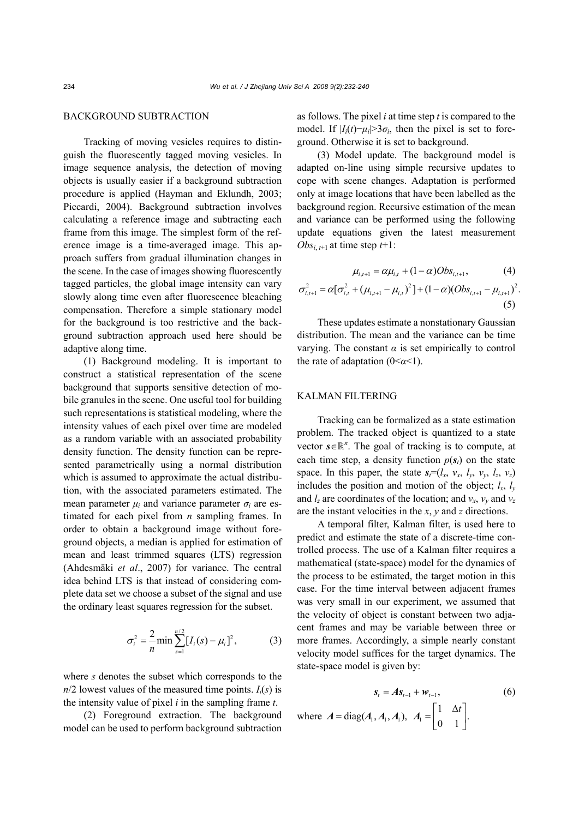## BACKGROUND SUBTRACTION

Tracking of moving vesicles requires to distinguish the fluorescently tagged moving vesicles. In image sequence analysis, the detection of moving objects is usually easier if a background subtraction procedure is applied (Hayman and Eklundh, 2003; Piccardi, 2004). Background subtraction involves calculating a reference image and subtracting each frame from this image. The simplest form of the reference image is a time-averaged image. This approach suffers from gradual illumination changes in the scene. In the case of images showing fluorescently tagged particles, the global image intensity can vary slowly along time even after fluorescence bleaching compensation. Therefore a simple stationary model for the background is too restrictive and the background subtraction approach used here should be adaptive along time.

(1) Background modeling. It is important to construct a statistical representation of the scene background that supports sensitive detection of mobile granules in the scene. One useful tool for building such representations is statistical modeling, where the intensity values of each pixel over time are modeled as a random variable with an associated probability density function. The density function can be represented parametrically using a normal distribution which is assumed to approximate the actual distribution, with the associated parameters estimated. The mean parameter  $\mu_i$  and variance parameter  $\sigma_i$  are estimated for each pixel from *n* sampling frames. In order to obtain a background image without foreground objects, a median is applied for estimation of mean and least trimmed squares (LTS) regression (Ahdesmäki *et al*., 2007) for variance. The central idea behind LTS is that instead of considering complete data set we choose a subset of the signal and use the ordinary least squares regression for the subset.

$$
\sigma_i^2 = \frac{2}{n} \min \sum_{s=1}^{n/2} [I_i(s) - \mu_i]^2, \tag{3}
$$

where *s* denotes the subset which corresponds to the  $n/2$  lowest values of the measured time points.  $I_i(s)$  is the intensity value of pixel *i* in the sampling frame *t*.

(2) Foreground extraction. The background model can be used to perform background subtraction

as follows. The pixel *i* at time step *t* is compared to the model. If  $|I_i(t) - \mu_i| > 3\sigma_i$ , then the pixel is set to foreground. Otherwise it is set to background.

(3) Model update. The background model is adapted on-line using simple recursive updates to cope with scene changes. Adaptation is performed only at image locations that have been labelled as the background region. Recursive estimation of the mean and variance can be performed using the following update equations given the latest measurement  $Obs_{i,t+1}$  at time step  $t+1$ :

$$
\mu_{i,t+1} = \alpha \mu_{i,t} + (1 - \alpha)Obs_{i,t+1},
$$
\n
$$
\sigma_{i,t+1}^2 = \alpha [\sigma_{i,t}^2 + (\mu_{i,t+1} - \mu_{i,t})^2] + (1 - \alpha)(Obs_{i,t+1} - \mu_{i,t+1})^2.
$$
\n(5)

These updates estimate a nonstationary Gaussian distribution. The mean and the variance can be time varying. The constant  $\alpha$  is set empirically to control the rate of adaptation  $(0 < \alpha < 1)$ .

## KALMAN FILTERING

Tracking can be formalized as a state estimation problem. The tracked object is quantized to a state vector  $s \in \mathbb{R}^n$ . The goal of tracking is to compute, at each time step, a density function  $p(s_t)$  on the state space. In this paper, the state  $s_f=(l_x, v_x, l_y, v_y, l_z, v_z)$ includes the position and motion of the object;  $l_x$ ,  $l_y$ and  $l_z$  are coordinates of the location; and  $v_x$ ,  $v_y$  and  $v_z$ are the instant velocities in the *x*, *y* and *z* directions.

A temporal filter, Kalman filter, is used here to predict and estimate the state of a discrete-time controlled process. The use of a Kalman filter requires a mathematical (state-space) model for the dynamics of the process to be estimated, the target motion in this case. For the time interval between adjacent frames was very small in our experiment, we assumed that the velocity of object is constant between two adjacent frames and may be variable between three or more frames. Accordingly, a simple nearly constant velocity model suffices for the target dynamics. The state-space model is given by:

$$
\mathbf{s}_{t} = A\mathbf{s}_{t-1} + \mathbf{w}_{t-1},
$$
\n
$$
\text{where } A = \text{diag}(A_{1}, A_{1}, A_{1}), \ A_{1} = \begin{bmatrix} 1 & \Delta t \\ 0 & 1 \end{bmatrix}.
$$
\n
$$
(6)
$$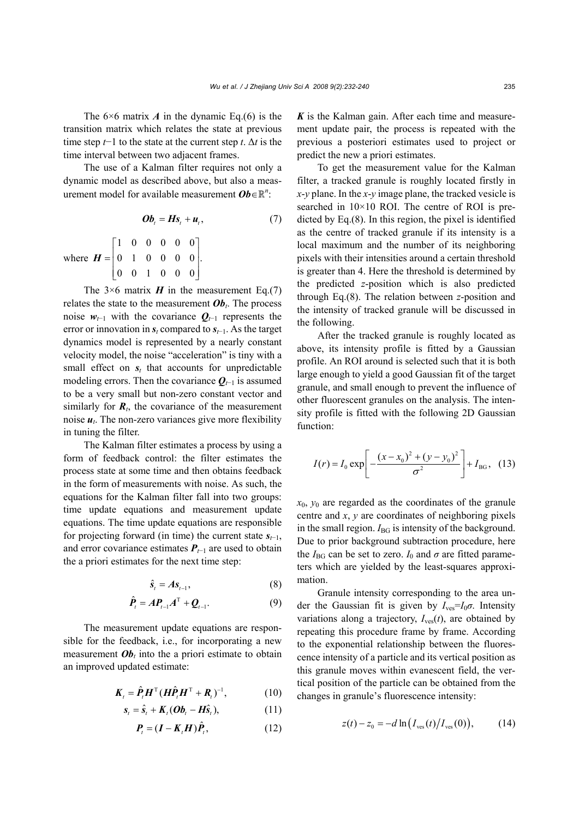The  $6\times 6$  matrix *A* in the dynamic Eq.(6) is the transition matrix which relates the state at previous time step *t*−1 to the state at the current step *t*. Δ*t* is the time interval between two adjacent frames.

The use of a Kalman filter requires not only a dynamic model as described above, but also a measurement model for available measurement  $\boldsymbol{Ob} \in \mathbb{R}^n$ :

$$
\boldsymbol{Ob}_{t} = \boldsymbol{H}\boldsymbol{s}_{t} + \boldsymbol{u}_{t}, \qquad (7)
$$

where 
$$
\boldsymbol{H} = \begin{bmatrix} 1 & 0 & 0 & 0 & 0 & 0 \\ 0 & 1 & 0 & 0 & 0 & 0 \\ 0 & 0 & 1 & 0 & 0 & 0 \end{bmatrix}.
$$

The  $3\times 6$  matrix *H* in the measurement Eq.(7) relates the state to the measurement  $\boldsymbol{Ob}_t$ . The process noise  $w_{t-1}$  with the covariance  $Q_{t-1}$  represents the error or innovation in *st* compared to *st*−1. As the target dynamics model is represented by a nearly constant velocity model, the noise "acceleration" is tiny with a small effect on  $s_t$  that accounts for unpredictable modeling errors. Then the covariance  $Q_{t-1}$  is assumed to be a very small but non-zero constant vector and similarly for  $\mathbf{R}_t$ , the covariance of the measurement noise  $u_t$ . The non-zero variances give more flexibility in tuning the filter.

The Kalman filter estimates a process by using a form of feedback control: the filter estimates the process state at some time and then obtains feedback in the form of measurements with noise. As such, the equations for the Kalman filter fall into two groups: time update equations and measurement update equations. The time update equations are responsible for projecting forward (in time) the current state  $s_{t-1}$ , and error covariance estimates  $P_{t-1}$  are used to obtain the a priori estimates for the next time step:

$$
\hat{\mathbf{s}}_t = A \mathbf{s}_{t-1},\tag{8}
$$

$$
\hat{\boldsymbol{P}}_t = \boldsymbol{A} \boldsymbol{P}_{t-1} \boldsymbol{A}^{\mathrm{T}} + \boldsymbol{Q}_{t-1}.
$$
 (9)

The measurement update equations are responsible for the feedback, i.e., for incorporating a new measurement  $\boldsymbol{Ob}_t$  into the a priori estimate to obtain an improved updated estimate:

$$
\boldsymbol{K}_{t} = \hat{\boldsymbol{P}}_{t} \boldsymbol{H}^{\mathrm{T}} (\boldsymbol{H} \hat{\boldsymbol{P}}_{t} \boldsymbol{H}^{\mathrm{T}} + \boldsymbol{R}_{t})^{-1}, \qquad (10)
$$

$$
\mathbf{s}_{t} = \hat{\mathbf{s}}_{t} + \mathbf{K}_{t}(\mathbf{O}\mathbf{b}_{t} - \mathbf{H}\hat{\mathbf{s}}_{t}),
$$
 (11)

$$
\boldsymbol{P}_{t} = (\boldsymbol{I} - \boldsymbol{K}_{t} \boldsymbol{H}) \hat{\boldsymbol{P}}_{t}, \qquad (12)
$$

*K* is the Kalman gain. After each time and measurement update pair, the process is repeated with the previous a posteriori estimates used to project or predict the new a priori estimates.

To get the measurement value for the Kalman filter, a tracked granule is roughly located firstly in *x*-*y* plane. In the *x*-*y* image plane, the tracked vesicle is searched in 10×10 ROI. The centre of ROI is predicted by Eq.(8). In this region, the pixel is identified as the centre of tracked granule if its intensity is a local maximum and the number of its neighboring pixels with their intensities around a certain threshold is greater than 4. Here the threshold is determined by the predicted *z*-position which is also predicted through Eq.(8). The relation between *z*-position and the intensity of tracked granule will be discussed in the following.

After the tracked granule is roughly located as above, its intensity profile is fitted by a Gaussian profile. An ROI around is selected such that it is both large enough to yield a good Gaussian fit of the target granule, and small enough to prevent the influence of other fluorescent granules on the analysis. The intensity profile is fitted with the following 2D Gaussian function:

$$
I(r) = I_0 \exp\left[-\frac{(x - x_0)^2 + (y - y_0)^2}{\sigma^2}\right] + I_{BG}, \quad (13)
$$

 $x_0$ ,  $y_0$  are regarded as the coordinates of the granule centre and *x*, *y* are coordinates of neighboring pixels in the small region.  $I_{\text{BG}}$  is intensity of the background. Due to prior background subtraction procedure, here the  $I_{BG}$  can be set to zero.  $I_0$  and  $\sigma$  are fitted parameters which are yielded by the least-squares approximation.

Granule intensity corresponding to the area under the Gaussian fit is given by  $I_{\text{ves}}=I_0\sigma$ . Intensity variations along a trajectory,  $I_{\text{ves}}(t)$ , are obtained by repeating this procedure frame by frame. According to the exponential relationship between the fluorescence intensity of a particle and its vertical position as this granule moves within evanescent field, the vertical position of the particle can be obtained from the changes in granule's fluorescence intensity:

$$
z(t) - z_0 = -d \ln \left( I_{\text{ves}}(t) / I_{\text{ves}}(0) \right), \tag{14}
$$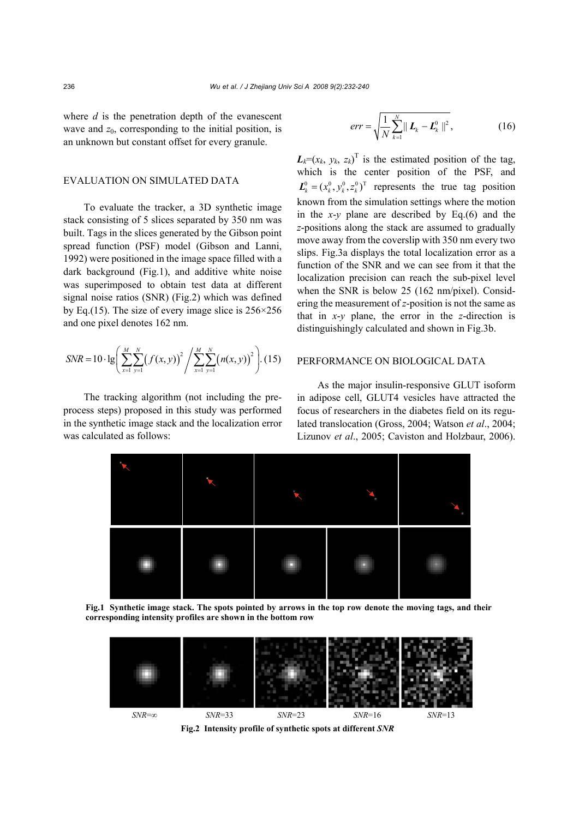where *d* is the penetration depth of the evanescent wave and  $z_0$ , corresponding to the initial position, is an unknown but constant offset for every granule.

#### EVALUATION ON SIMULATED DATA

To evaluate the tracker, a 3D synthetic image stack consisting of 5 slices separated by 350 nm was built. Tags in the slices generated by the Gibson point spread function (PSF) model (Gibson and Lanni, 1992) were positioned in the image space filled with a dark background (Fig.1), and additive white noise was superimposed to obtain test data at different signal noise ratios (SNR) (Fig.2) which was defined by Eq.(15). The size of every image slice is  $256 \times 256$ and one pixel denotes 162 nm.

$$
SNR = 10 \cdot \lg \left( \sum_{x=1}^{M} \sum_{y=1}^{N} \left( f(x, y) \right)^2 / \sum_{x=1}^{M} \sum_{y=1}^{N} \left( n(x, y) \right)^2 \right). (15)
$$

The tracking algorithm (not including the preprocess steps) proposed in this study was performed in the synthetic image stack and the localization error was calculated as follows:

$$
err = \sqrt{\frac{1}{N} \sum_{k=1}^{N} ||\mathbf{L}_k - \mathbf{L}_k^0||^2},
$$
 (16)

 $L_k = (x_k, y_k, z_k)^T$  is the estimated position of the tag, which is the center position of the PSF, and  $\mathbf{L}_{k}^{0} = (x_{k}^{0}, y_{k}^{0}, z_{k}^{0})^{\text{T}}$  represents the true tag position known from the simulation settings where the motion in the *x*-*y* plane are described by Eq.(6) and the *z*-positions along the stack are assumed to gradually move away from the coverslip with 350 nm every two slips. Fig.3a displays the total localization error as a function of the SNR and we can see from it that the localization precision can reach the sub-pixel level when the SNR is below 25 (162 nm/pixel). Considering the measurement of *z*-position is not the same as that in *x*-*y* plane, the error in the *z*-direction is distinguishingly calculated and shown in Fig.3b.

### PERFORMANCE ON BIOLOGICAL DATA

As the major insulin-responsive GLUT isoform in adipose cell, GLUT4 vesicles have attracted the focus of researchers in the diabetes field on its regulated translocation (Gross, 2004; Watson *et al*., 2004; Lizunov *et al*., 2005; Caviston and Holzbaur, 2006).



**Fig.1 Synthetic image stack. The spots pointed by arrows in the top row denote the moving tags, and their corresponding intensity profiles are shown in the bottom row** 



**Fig.2 Intensity profile of synthetic spots at different** *SNR*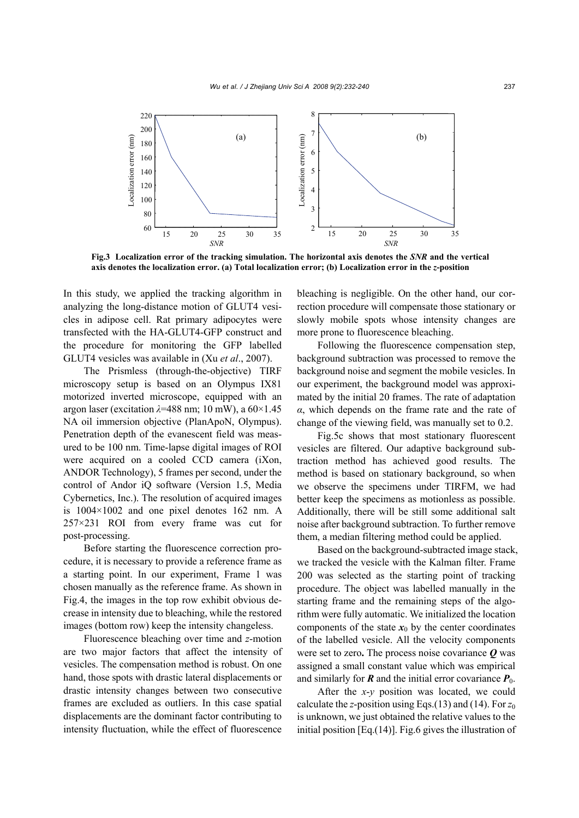

**Fig.3 Localization error of the tracking simulation. The horizontal axis denotes the** *SNR* **and the vertical axis denotes the localization error. (a) Total localization error; (b) Localization error in the** *z***-position** 

In this study, we applied the tracking algorithm in analyzing the long-distance motion of GLUT4 vesicles in adipose cell. Rat primary adipocytes were transfected with the HA-GLUT4-GFP construct and the procedure for monitoring the GFP labelled GLUT4 vesicles was available in (Xu *et al*., 2007).

The Prismless (through-the-objective) TIRF microscopy setup is based on an Olympus IX81 motorized inverted microscope, equipped with an argon laser (excitation *λ*=488 nm; 10 mW), a 60×1.45 NA oil immersion objective (PlanApoN, Olympus). Penetration depth of the evanescent field was measured to be 100 nm. Time-lapse digital images of ROI were acquired on a cooled CCD camera (iXon, ANDOR Technology), 5 frames per second, under the control of Andor iQ software (Version 1.5, Media Cybernetics, Inc.). The resolution of acquired images is 1004×1002 and one pixel denotes 162 nm. A 257×231 ROI from every frame was cut for post-processing.

Before starting the fluorescence correction procedure, it is necessary to provide a reference frame as a starting point. In our experiment, Frame 1 was chosen manually as the reference frame. As shown in Fig.4, the images in the top row exhibit obvious decrease in intensity due to bleaching, while the restored images (bottom row) keep the intensity changeless.

Fluorescence bleaching over time and *z*-motion are two major factors that affect the intensity of vesicles. The compensation method is robust. On one hand, those spots with drastic lateral displacements or drastic intensity changes between two consecutive frames are excluded as outliers. In this case spatial displacements are the dominant factor contributing to intensity fluctuation, while the effect of fluorescence

bleaching is negligible. On the other hand, our correction procedure will compensate those stationary or slowly mobile spots whose intensity changes are more prone to fluorescence bleaching.

Following the fluorescence compensation step, background subtraction was processed to remove the background noise and segment the mobile vesicles. In our experiment, the background model was approximated by the initial 20 frames. The rate of adaptation *α*, which depends on the frame rate and the rate of change of the viewing field, was manually set to 0.2.

Fig.5c shows that most stationary fluorescent vesicles are filtered. Our adaptive background subtraction method has achieved good results. The method is based on stationary background, so when we observe the specimens under TIRFM, we had better keep the specimens as motionless as possible. Additionally, there will be still some additional salt noise after background subtraction. To further remove them, a median filtering method could be applied.

Based on the background-subtracted image stack, we tracked the vesicle with the Kalman filter. Frame 200 was selected as the starting point of tracking procedure. The object was labelled manually in the starting frame and the remaining steps of the algorithm were fully automatic. We initialized the location components of the state  $x_0$  by the center coordinates of the labelled vesicle. All the velocity components were set to zero**.** The process noise covariance *Q* was assigned a small constant value which was empirical and similarly for  $\vec{R}$  and the initial error covariance  $\vec{P}_0$ .

After the *x*-*y* position was located, we could calculate the *z*-position using Eqs.(13) and (14). For *z*<sup>0</sup> is unknown, we just obtained the relative values to the initial position [Eq.(14)]. Fig.6 gives the illustration of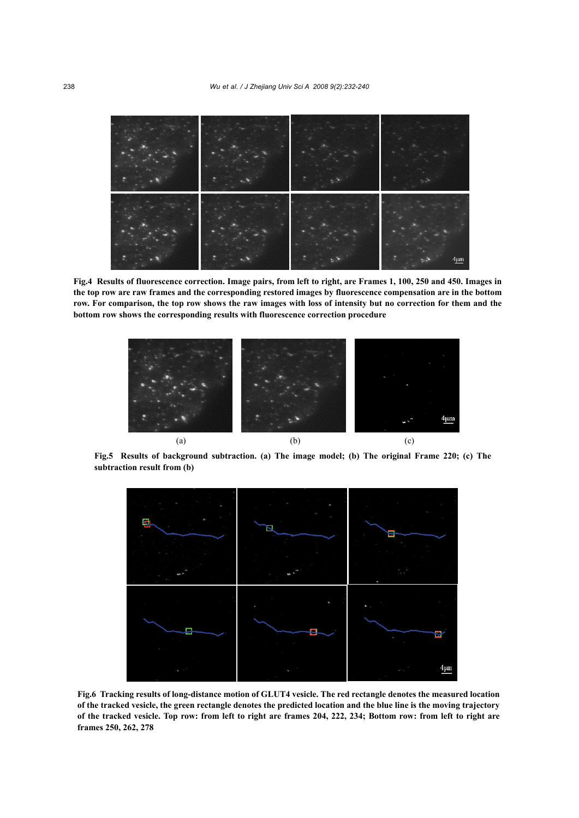

**Fig.4 Results of fluorescence correction. Image pairs, from left to right, are Frames 1, 100, 250 and 450. Images in the top row are raw frames and the corresponding restored images by fluorescence compensation are in the bottom row. For comparison, the top row shows the raw images with loss of intensity but no correction for them and the bottom row shows the corresponding results with fluorescence correction procedure** 



**Fig.5 Results of background subtraction. (a) The image model; (b) The original Frame 220; (c) The subtraction result from (b)** 



**Fig.6 Tracking results of long-distance motion of GLUT4 vesicle. The red rectangle denotes the measured location of the tracked vesicle, the green rectangle denotes the predicted location and the blue line is the moving trajectory of the tracked vesicle. Top row: from left to right are frames 204, 222, 234; Bottom row: from left to right are frames 250, 262, 278**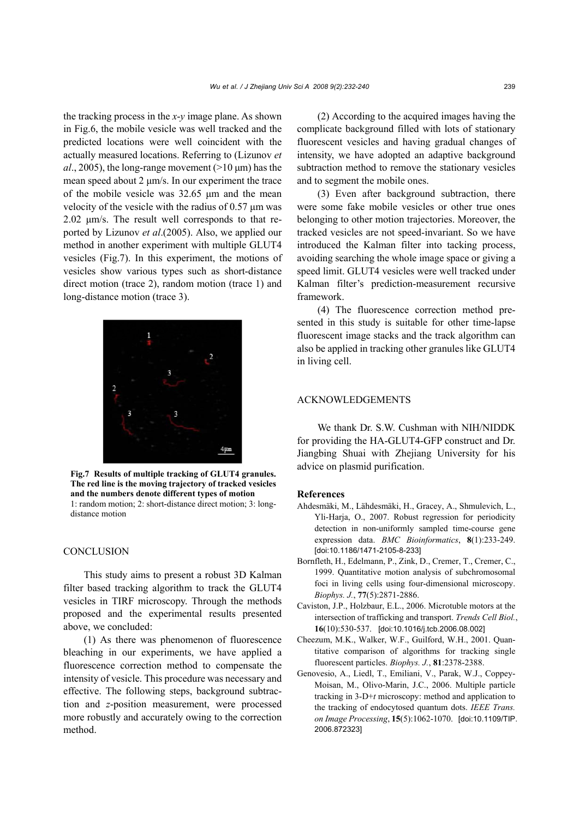the tracking process in the *x*-*y* image plane. As shown in Fig.6, the mobile vesicle was well tracked and the predicted locations were well coincident with the actually measured locations. Referring to (Lizunov *et*   $al$ , 2005), the long-range movement ( $>10 \mu$ m) has the mean speed about 2 μm/s. In our experiment the trace of the mobile vesicle was 32.65 μm and the mean velocity of the vesicle with the radius of 0.57 μm was 2.02 μm/s. The result well corresponds to that reported by Lizunov *et al*.(2005). Also, we applied our method in another experiment with multiple GLUT4 vesicles (Fig.7). In this experiment, the motions of vesicles show various types such as short-distance direct motion (trace 2), random motion (trace 1) and long-distance motion (trace 3).



**Fig.7 Results of multiple tracking of GLUT4 granules. The red line is the moving trajectory of tracked vesicles and the numbers denote different types of motion**  1: random motion; 2: short-distance direct motion; 3: longdistance motion

### **CONCLUSION**

This study aims to present a robust 3D Kalman filter based tracking algorithm to track the GLUT4 vesicles in TIRF microscopy. Through the methods proposed and the experimental results presented above, we concluded:

(1) As there was phenomenon of fluorescence bleaching in our experiments, we have applied a fluorescence correction method to compensate the intensity of vesicle. This procedure was necessary and effective. The following steps, background subtraction and *z*-position measurement, were processed more robustly and accurately owing to the correction method.

(2) According to the acquired images having the complicate background filled with lots of stationary fluorescent vesicles and having gradual changes of intensity, we have adopted an adaptive background subtraction method to remove the stationary vesicles and to segment the mobile ones.

(3) Even after background subtraction, there were some fake mobile vesicles or other true ones belonging to other motion trajectories. Moreover, the tracked vesicles are not speed-invariant. So we have introduced the Kalman filter into tacking process, avoiding searching the whole image space or giving a speed limit. GLUT4 vesicles were well tracked under Kalman filter's prediction-measurement recursive framework.

(4) The fluorescence correction method presented in this study is suitable for other time-lapse fluorescent image stacks and the track algorithm can also be applied in tracking other granules like GLUT4 in living cell.

## ACKNOWLEDGEMENTS

We thank Dr. S.W. Cushman with NIH/NIDDK for providing the HA-GLUT4-GFP construct and Dr. Jiangbing Shuai with Zhejiang University for his advice on plasmid purification.

### **References**

- Ahdesmäki, M., Lähdesmäki, H., Gracey, A., Shmulevich, L., Yli-Harja, O., 2007. Robust regression for periodicity detection in non-uniformly sampled time-course gene expression data. *BMC Bioinformatics*, **8**(1):233-249. [doi:10.1186/1471-2105-8-233]
- Bornfleth, H., Edelmann, P., Zink, D., Cremer, T., Cremer, C., 1999. Quantitative motion analysis of subchromosomal foci in living cells using four-dimensional microscopy. *Biophys. J.*, **77**(5):2871-2886.
- Caviston, J.P., Holzbaur, E.L., 2006. Microtuble motors at the intersection of trafficking and transport. *Trends Cell Biol.*, **16**(10):530-537. [doi:10.1016/j.tcb.2006.08.002]
- Cheezum, M.K., Walker, W.F., Guilford, W.H., 2001. Quantitative comparison of algorithms for tracking single fluorescent particles. *Biophys. J.*, **81**:2378-2388.
- Genovesio, A., Liedl, T., Emiliani, V., Parak, W.J., Coppey-Moisan, M., Olivo-Marin, J.C., 2006. Multiple particle tracking in 3-D+*t* microscopy: method and application to the tracking of endocytosed quantum dots. *IEEE Trans. on Image Processing*, **15**(5):1062-1070. [doi:10.1109/TIP. 2006.872323]